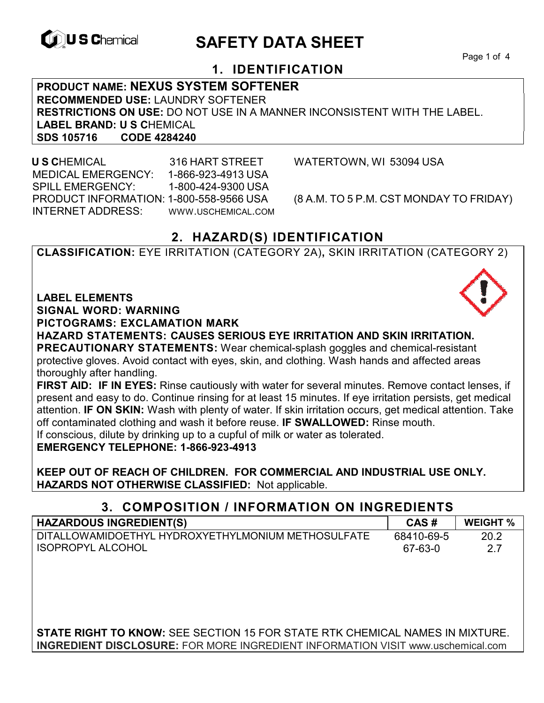

# **EXAGREM** SAFETY DATA SHEET

Page 1 of 4

## **1. IDENTIFICATION**

**PRODUCT NAME: NEXUS SYSTEM SOFTENER RECOMMENDED USE:** LAUNDRY SOFTENER **RESTRICTIONS ON USE:** DO NOT USE IN A MANNER INCONSISTENT WITH THE LABEL. **LABEL BRAND: U S C**HEMICAL **SDS 105716** 

 **U S C**HEMICAL 316 HART STREET WATERTOWN, WI 53094 USA MEDICAL EMERGENCY: 1-866-923-4913 USA SPILL EMERGENCY: 1-800-424-9300 USA PRODUCT INFORMATION: 1-800-558-9566 USA (8 A.M. TO 5 P.M. CST MONDAY TO FRIDAY) INTERNET ADDRESS: WWW.USCHEMICAL.COM

## **2. HAZARD(S) IDENTIFICATION**

**CLASSIFICATION:** EYE IRRITATION (CATEGORY 2A)**,** SKIN IRRITATION (CATEGORY 2)

**LABEL ELEMENTS** 

**SIGNAL WORD: WARNING**

**PICTOGRAMS: EXCLAMATION MARK**

**HAZARD STATEMENTS: CAUSES SERIOUS EYE IRRITATION AND SKIN IRRITATION. PRECAUTIONARY STATEMENTS:** Wear chemical-splash goggles and chemical-resistant protective gloves. Avoid contact with eyes, skin, and clothing. Wash hands and affected areas thoroughly after handling.

**FIRST AID: IF IN EYES:** Rinse cautiously with water for several minutes. Remove contact lenses, if present and easy to do. Continue rinsing for at least 15 minutes. If eye irritation persists, get medical attention. **IF ON SKIN:** Wash with plenty of water. If skin irritation occurs, get medical attention. Take off contaminated clothing and wash it before reuse. **IF SWALLOWED:** Rinse mouth. If conscious, dilute by drinking up to a cupful of milk or water as tolerated.

**EMERGENCY TELEPHONE: 1-866-923-4913** 

**KEEP OUT OF REACH OF CHILDREN. FOR COMMERCIAL AND INDUSTRIAL USE ONLY. HAZARDS NOT OTHERWISE CLASSIFIED:** Not applicable.

## **3. COMPOSITION / INFORMATION ON INGREDIENTS**

| <b>HAZARDOUS INGREDIENT(S)</b>                     | CAS#       | <b>WEIGHT %</b> |
|----------------------------------------------------|------------|-----------------|
| DITALLOWAMIDOETHYL HYDROXYETHYLMONIUM METHOSULFATE | 68410-69-5 | 20.2            |
| ISOPROPYL ALCOHOL                                  | 67-63-0    |                 |

**STATE RIGHT TO KNOW:** SEE SECTION 15 FOR STATE RTK CHEMICAL NAMES IN MIXTURE. **INGREDIENT DISCLOSURE:** FOR MORE INGREDIENT INFORMATION VISIT www.uschemical.com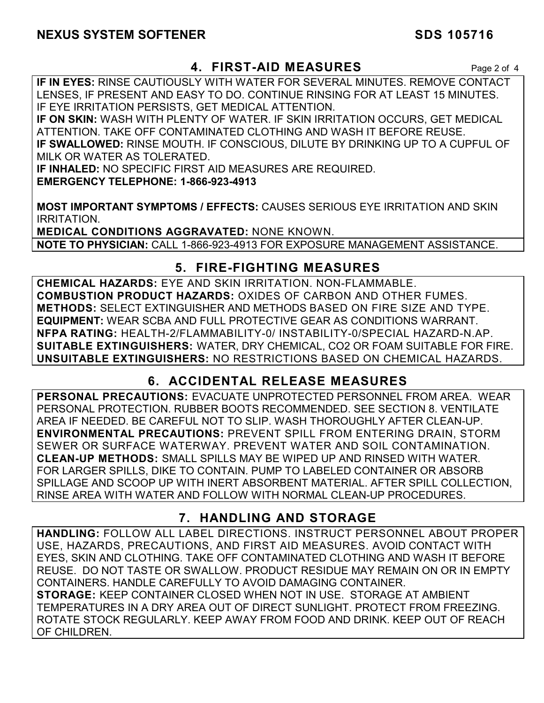#### **4. FIRST-AID MEASURES** Page 2 of 4

**IF IN EYES:** RINSE CAUTIOUSLY WITH WATER FOR SEVERAL MINUTES. REMOVE CONTACT LENSES, IF PRESENT AND EASY TO DO. CONTINUE RINSING FOR AT LEAST 15 MINUTES. IF EYE IRRITATION PERSISTS, GET MEDICAL ATTENTION.

**IF ON SKIN:** WASH WITH PLENTY OF WATER. IF SKIN IRRITATION OCCURS, GET MEDICAL ATTENTION. TAKE OFF CONTAMINATED CLOTHING AND WASH IT BEFORE REUSE. **IF SWALLOWED:** RINSE MOUTH. IF CONSCIOUS, DILUTE BY DRINKING UP TO A CUPFUL OF MILK OR WATER AS TOLERATED.

**IF INHALED:** NO SPECIFIC FIRST AID MEASURES ARE REQUIRED. **EMERGENCY TELEPHONE: 1-866-923-4913** 

**MOST IMPORTANT SYMPTOMS / EFFECTS:** CAUSES SERIOUS EYE IRRITATION AND SKIN IRRITATION.

**MEDICAL CONDITIONS AGGRAVATED:** NONE KNOWN. **NOTE TO PHYSICIAN:** CALL 1-866-923-4913 FOR EXPOSURE MANAGEMENT ASSISTANCE.

## **5. FIRE-FIGHTING MEASURES**

**CHEMICAL HAZARDS:** EYE AND SKIN IRRITATION. NON-FLAMMABLE. **COMBUSTION PRODUCT HAZARDS:** OXIDES OF CARBON AND OTHER FUMES. **METHODS:** SELECT EXTINGUISHER AND METHODS BASED ON FIRE SIZE AND TYPE. **EQUIPMENT:** WEAR SCBA AND FULL PROTECTIVE GEAR AS CONDITIONS WARRANT. **NFPA RATING:** HEALTH-2/FLAMMABILITY-0/ INSTABILITY-0/SPECIAL HAZARD-N.AP. **SUITABLE EXTINGUISHERS:** WATER, DRY CHEMICAL, CO2 OR FOAM SUITABLE FOR FIRE. **UNSUITABLE EXTINGUISHERS:** NO RESTRICTIONS BASED ON CHEMICAL HAZARDS.

## **6. ACCIDENTAL RELEASE MEASURES**

**PERSONAL PRECAUTIONS:** EVACUATE UNPROTECTED PERSONNEL FROM AREA. WEAR PERSONAL PROTECTION. RUBBER BOOTS RECOMMENDED. SEE SECTION 8. VENTILATE AREA IF NEEDED. BE CAREFUL NOT TO SLIP. WASH THOROUGHLY AFTER CLEAN-UP. **ENVIRONMENTAL PRECAUTIONS:** PREVENT SPILL FROM ENTERING DRAIN, STORM SEWER OR SURFACE WATERWAY. PREVENT WATER AND SOIL CONTAMINATION. **CLEAN-UP METHODS:** SMALL SPILLS MAY BE WIPED UP AND RINSED WITH WATER. FOR LARGER SPILLS, DIKE TO CONTAIN. PUMP TO LABELED CONTAINER OR ABSORB SPILLAGE AND SCOOP UP WITH INERT ABSORBENT MATERIAL. AFTER SPILL COLLECTION, RINSE AREA WITH WATER AND FOLLOW WITH NORMAL CLEAN-UP PROCEDURES.

## **7. HANDLING AND STORAGE**

**HANDLING:** FOLLOW ALL LABEL DIRECTIONS. INSTRUCT PERSONNEL ABOUT PROPER USE, HAZARDS, PRECAUTIONS, AND FIRST AID MEASURES. AVOID CONTACT WITH EYES, SKIN AND CLOTHING. TAKE OFF CONTAMINATED CLOTHING AND WASH IT BEFORE REUSE. DO NOT TASTE OR SWALLOW. PRODUCT RESIDUE MAY REMAIN ON OR IN EMPTY CONTAINERS. HANDLE CAREFULLY TO AVOID DAMAGING CONTAINER. **STORAGE:** KEEP CONTAINER CLOSED WHEN NOT IN USE. STORAGE AT AMBIENT TEMPERATURES IN A DRY AREA OUT OF DIRECT SUNLIGHT. PROTECT FROM FREEZING. ROTATE STOCK REGULARLY. KEEP AWAY FROM FOOD AND DRINK. KEEP OUT OF REACH OF CHILDREN.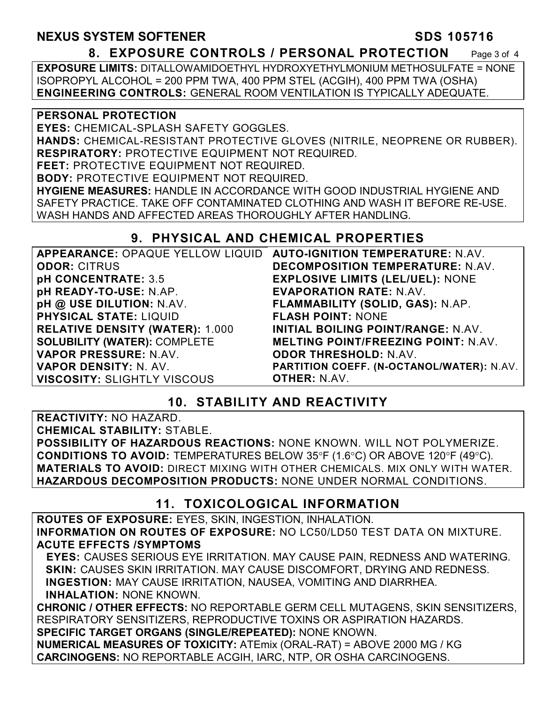#### **NEXUS SYSTEM SOFTENER SDS 105716 8. EXPOSURE CONTROLS / PERSONAL PROTECTION** Page 3 of 4

**EXPOSURE LIMITS:** DITALLOWAMIDOETHYL HYDROXYETHYLMONIUM METHOSULFATE = NONE ISOPROPYL ALCOHOL = 200 PPM TWA, 400 PPM STEL (ACGIH), 400 PPM TWA (OSHA) **ENGINEERING CONTROLS:** GENERAL ROOM VENTILATION IS TYPICALLY ADEQUATE.

**PERSONAL PROTECTION** 

**EYES:** CHEMICAL-SPLASH SAFETY GOGGLES.

**HANDS:** CHEMICAL-RESISTANT PROTECTIVE GLOVES (NITRILE, NEOPRENE OR RUBBER). **RESPIRATORY:** PROTECTIVE EQUIPMENT NOT REQUIRED.

**FEET:** PROTECTIVE EQUIPMENT NOT REQUIRED.

**BODY:** PROTECTIVE EQUIPMENT NOT REQUIRED.

**HYGIENE MEASURES:** HANDLE IN ACCORDANCE WITH GOOD INDUSTRIAL HYGIENE AND SAFETY PRACTICE. TAKE OFF CONTAMINATED CLOTHING AND WASH IT BEFORE RE-USE. WASH HANDS AND AFFECTED AREAS THOROUGHLY AFTER HANDLING.

## **9. PHYSICAL AND CHEMICAL PROPERTIES**

| APPEARANCE: OPAQUE YELLOW LIQUID AUTO-IGNITION TEMPERATURE: N.AV. |                                            |
|-------------------------------------------------------------------|--------------------------------------------|
| <b>ODOR: CITRUS</b>                                               | <b>DECOMPOSITION TEMPERATURE: N.AV.</b>    |
| pH CONCENTRATE: 3.5                                               | <b>EXPLOSIVE LIMITS (LEL/UEL): NONE</b>    |
| pH READY-TO-USE: N.AP.                                            | <b>EVAPORATION RATE: N.AV.</b>             |
| pH @ USE DILUTION: N.AV.                                          | FLAMMABILITY (SOLID, GAS): N.AP.           |
| <b>PHYSICAL STATE: LIQUID</b>                                     | <b>FLASH POINT: NONE</b>                   |
| <b>RELATIVE DENSITY (WATER): 1.000</b>                            | <b>INITIAL BOILING POINT/RANGE: N.AV.</b>  |
| <b>SOLUBILITY (WATER): COMPLETE</b>                               | <b>MELTING POINT/FREEZING POINT: N.AV.</b> |
| VAPOR PRESSURE: N.AV.                                             | <b>ODOR THRESHOLD: N.AV.</b>               |
| <b>VAPOR DENSITY: N. AV.</b>                                      | PARTITION COEFF. (N-OCTANOL/WATER): N.AV.  |
| <b>VISCOSITY: SLIGHTLY VISCOUS</b>                                | <b>OTHER: N.AV.</b>                        |

## **10. STABILITY AND REACTIVITY**

**REACTIVITY:** NO HAZARD.

**CHEMICAL STABILITY:** STABLE.

**POSSIBILITY OF HAZARDOUS REACTIONS:** NONE KNOWN. WILL NOT POLYMERIZE. **CONDITIONS TO AVOID:** TEMPERATURES BELOW 35°F (1.6°C) OR ABOVE 120°F (49°C). **MATERIALS TO AVOID:** DIRECT MIXING WITH OTHER CHEMICALS. MIX ONLY WITH WATER. **HAZARDOUS DECOMPOSITION PRODUCTS:** NONE UNDER NORMAL CONDITIONS.

## **11. TOXICOLOGICAL INFORMATION**

**ROUTES OF EXPOSURE:** EYES, SKIN, INGESTION, INHALATION. **INFORMATION ON ROUTES OF EXPOSURE:** NO LC50/LD50 TEST DATA ON MIXTURE. **ACUTE EFFECTS /SYMPTOMS** 

 **EYES:** CAUSES SERIOUS EYE IRRITATION. MAY CAUSE PAIN, REDNESS AND WATERING. **SKIN:** CAUSES SKIN IRRITATION. MAY CAUSE DISCOMFORT, DRYING AND REDNESS. **INGESTION:** MAY CAUSE IRRITATION, NAUSEA, VOMITING AND DIARRHEA. **INHALATION:** NONE KNOWN.

**CHRONIC / OTHER EFFECTS:** NO REPORTABLE GERM CELL MUTAGENS, SKIN SENSITIZERS, RESPIRATORY SENSITIZERS, REPRODUCTIVE TOXINS OR ASPIRATION HAZARDS. **SPECIFIC TARGET ORGANS (SINGLE/REPEATED):** NONE KNOWN.

**NUMERICAL MEASURES OF TOXICITY:** ATEmix (ORAL-RAT) = ABOVE 2000 MG / KG **CARCINOGENS:** NO REPORTABLE ACGIH, IARC, NTP, OR OSHA CARCINOGENS.